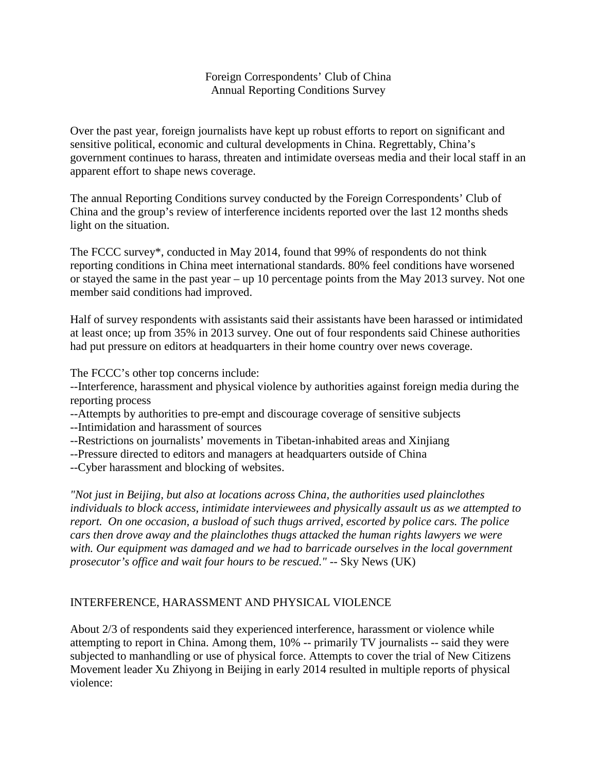# Foreign Correspondents' Club of China Annual Reporting Conditions Survey

Over the past year, foreign journalists have kept up robust efforts to report on significant and sensitive political, economic and cultural developments in China. Regrettably, China's government continues to harass, threaten and intimidate overseas media and their local staff in an apparent effort to shape news coverage.

The annual Reporting Conditions survey conducted by the Foreign Correspondents' Club of China and the group's review of interference incidents reported over the last 12 months sheds light on the situation.

The FCCC survey\*, conducted in May 2014, found that 99% of respondents do not think reporting conditions in China meet international standards. 80% feel conditions have worsened or stayed the same in the past year – up 10 percentage points from the May 2013 survey. Not one member said conditions had improved.

Half of survey respondents with assistants said their assistants have been harassed or intimidated at least once; up from 35% in 2013 survey. One out of four respondents said Chinese authorities had put pressure on editors at headquarters in their home country over news coverage.

The FCCC's other top concerns include:

--Interference, harassment and physical violence by authorities against foreign media during the reporting process

- --Attempts by authorities to pre-empt and discourage coverage of sensitive subjects
- --Intimidation and harassment of sources
- --Restrictions on journalists' movements in Tibetan-inhabited areas and Xinjiang
- --Pressure directed to editors and managers at headquarters outside of China
- --Cyber harassment and blocking of websites.

*"Not just in Beijing, but also at locations across China, the authorities used plainclothes individuals to block access, intimidate interviewees and physically assault us as we attempted to report. On one occasion, a busload of such thugs arrived, escorted by police cars. The police cars then drove away and the plainclothes thugs attacked the human rights lawyers we were with. Our equipment was damaged and we had to barricade ourselves in the local government prosecutor's office and wait four hours to be rescued."* -- Sky News (UK)

# INTERFERENCE, HARASSMENT AND PHYSICAL VIOLENCE

About 2/3 of respondents said they experienced interference, harassment or violence while attempting to report in China. Among them, 10% -- primarily TV journalists -- said they were subjected to manhandling or use of physical force. Attempts to cover the trial of New Citizens Movement leader Xu Zhiyong in Beijing in early 2014 resulted in multiple reports of physical violence: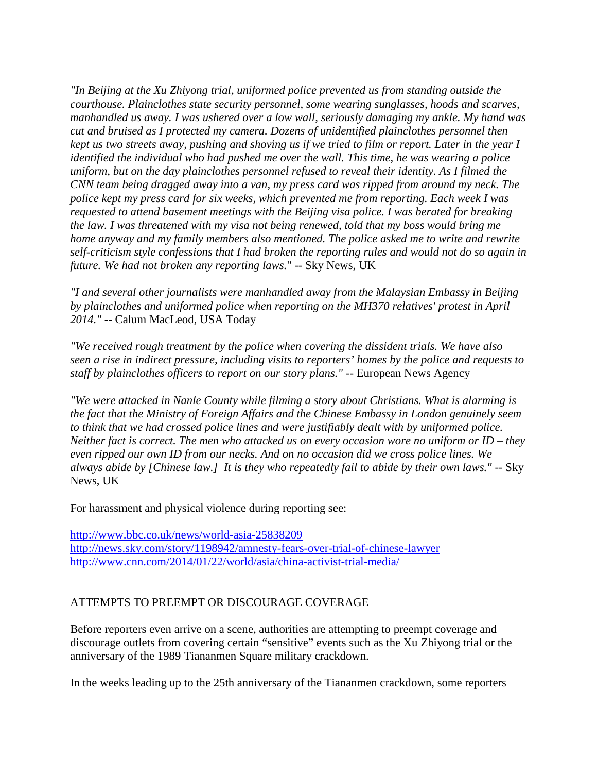*"In Beijing at the Xu Zhiyong trial, uniformed police prevented us from standing outside the courthouse. Plainclothes state security personnel, some wearing sunglasses, hoods and scarves, manhandled us away. I was ushered over a low wall, seriously damaging my ankle. My hand was cut and bruised as I protected my camera. Dozens of unidentified plainclothes personnel then kept us two streets away, pushing and shoving us if we tried to film or report. Later in the year I identified the individual who had pushed me over the wall. This time, he was wearing a police uniform, but on the day plainclothes personnel refused to reveal their identity. As I filmed the CNN team being dragged away into a van, my press card was ripped from around my neck. The police kept my press card for six weeks, which prevented me from reporting. Each week I was requested to attend basement meetings with the Beijing visa police. I was berated for breaking the law. I was threatened with my visa not being renewed, told that my boss would bring me home anyway and my family members also mentioned. The police asked me to write and rewrite self-criticism style confessions that I had broken the reporting rules and would not do so again in future. We had not broken any reporting laws.*" -- Sky News, UK

*"I and several other journalists were manhandled away from the Malaysian Embassy in Beijing by plainclothes and uniformed police when reporting on the MH370 relatives' protest in April 2014."* -- Calum MacLeod, USA Today

*"We received rough treatment by the police when covering the dissident trials. We have also seen a rise in indirect pressure, including visits to reporters' homes by the police and requests to staff by plainclothes officers to report on our story plans."* -- European News Agency

*"We were attacked in Nanle County while filming a story about Christians. What is alarming is the fact that the Ministry of Foreign Affairs and the Chinese Embassy in London genuinely seem to think that we had crossed police lines and were justifiably dealt with by uniformed police. Neither fact is correct. The men who attacked us on every occasion wore no uniform or ID – they even ripped our own ID from our necks. And on no occasion did we cross police lines. We always abide by [Chinese law.] It is they who repeatedly fail to abide by their own laws."* -- Sky News, UK

For harassment and physical violence during reporting see:

<http://www.bbc.co.uk/news/world-asia-25838209> <http://news.sky.com/story/1198942/amnesty-fears-over-trial-of-chinese-lawyer> <http://www.cnn.com/2014/01/22/world/asia/china-activist-trial-media/>

# ATTEMPTS TO PREEMPT OR DISCOURAGE COVERAGE

Before reporters even arrive on a scene, authorities are attempting to preempt coverage and discourage outlets from covering certain "sensitive" events such as the Xu Zhiyong trial or the anniversary of the 1989 Tiananmen Square military crackdown.

In the weeks leading up to the 25th anniversary of the Tiananmen crackdown, some reporters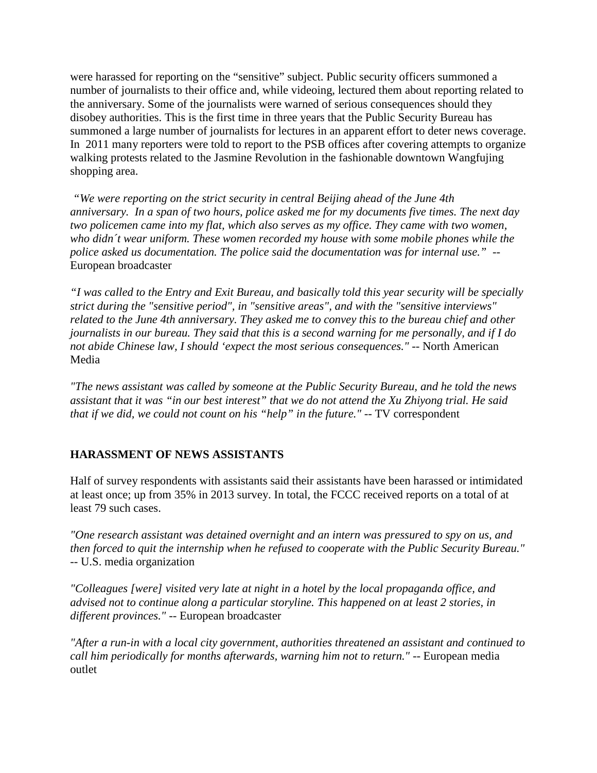were harassed for reporting on the "sensitive" subject. Public security officers summoned a number of journalists to their office and, while videoing, lectured them about reporting related to the anniversary. Some of the journalists were warned of serious consequences should they disobey authorities. This is the first time in three years that the Public Security Bureau has summoned a large number of journalists for lectures in an apparent effort to deter news coverage. In 2011 many reporters were told to report to the PSB offices after covering attempts to organize walking protests related to the Jasmine Revolution in the fashionable downtown Wangfujing shopping area.

*"We were reporting on the strict security in central Beijing ahead of the June 4th anniversary. In a span of two hours, police asked me for my documents five times. The next day two policemen came into my flat, which also serves as my office. They came with two women, who didn´t wear uniform. These women recorded my house with some mobile phones while the police asked us documentation. The police said the documentation was for internal use."* -- European broadcaster

*"I was called to the Entry and Exit Bureau, and basically told this year security will be specially strict during the "sensitive period", in "sensitive areas", and with the "sensitive interviews" related to the June 4th anniversary. They asked me to convey this to the bureau chief and other journalists in our bureau. They said that this is a second warning for me personally, and if I do not abide Chinese law, I should 'expect the most serious consequences."* -- North American Media

*"The news assistant was called by someone at the Public Security Bureau, and he told the news assistant that it was "in our best interest" that we do not attend the Xu Zhiyong trial. He said that if we did, we could not count on his "help" in the future."* -- TV correspondent

# **HARASSMENT OF NEWS ASSISTANTS**

Half of survey respondents with assistants said their assistants have been harassed or intimidated at least once; up from 35% in 2013 survey. In total, the FCCC received reports on a total of at least 79 such cases.

*"One research assistant was detained overnight and an intern was pressured to spy on us, and then forced to quit the internship when he refused to cooperate with the Public Security Bureau."* -- U.S. media organization

*"Colleagues [were] visited very late at night in a hotel by the local propaganda office, and advised not to continue along a particular storyline. This happened on at least 2 stories, in different provinces."* -- European broadcaster

*"After a run-in with a local city government, authorities threatened an assistant and continued to call him periodically for months afterwards, warning him not to return."* -- European media outlet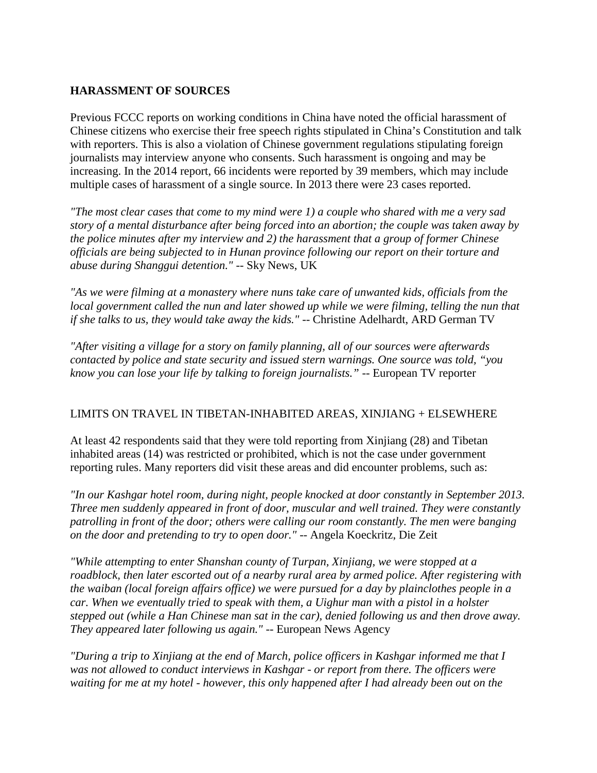### **HARASSMENT OF SOURCES**

Previous FCCC reports on working conditions in China have noted the official harassment of Chinese citizens who exercise their free speech rights stipulated in China's Constitution and talk with reporters. This is also a violation of Chinese government regulations stipulating foreign journalists may interview anyone who consents. Such harassment is ongoing and may be increasing. In the 2014 report, 66 incidents were reported by 39 members, which may include multiple cases of harassment of a single source. In 2013 there were 23 cases reported.

*"The most clear cases that come to my mind were 1) a couple who shared with me a very sad story of a mental disturbance after being forced into an abortion; the couple was taken away by the police minutes after my interview and 2) the harassment that a group of former Chinese officials are being subjected to in Hunan province following our report on their torture and abuse during Shanggui detention."* -- Sky News, UK

*"As we were filming at a monastery where nuns take care of unwanted kids, officials from the local government called the nun and later showed up while we were filming, telling the nun that if she talks to us, they would take away the kids."* -- Christine Adelhardt, ARD German TV

*"After visiting a village for a story on family planning, all of our sources were afterwards contacted by police and state security and issued stern warnings. One source was told, "you know you can lose your life by talking to foreign journalists."* -- European TV reporter

#### LIMITS ON TRAVEL IN TIBETAN-INHABITED AREAS, XINJIANG + ELSEWHERE

At least 42 respondents said that they were told reporting from Xinjiang (28) and Tibetan inhabited areas (14) was restricted or prohibited, which is not the case under government reporting rules. Many reporters did visit these areas and did encounter problems, such as:

*"In our Kashgar hotel room, during night, people knocked at door constantly in September 2013. Three men suddenly appeared in front of door, muscular and well trained. They were constantly patrolling in front of the door; others were calling our room constantly. The men were banging on the door and pretending to try to open door."* -- Angela Koeckritz, Die Zeit

*"While attempting to enter Shanshan county of Turpan, Xinjiang, we were stopped at a roadblock, then later escorted out of a nearby rural area by armed police. After registering with the waiban (local foreign affairs office) we were pursued for a day by plainclothes people in a car. When we eventually tried to speak with them, a Uighur man with a pistol in a holster stepped out (while a Han Chinese man sat in the car), denied following us and then drove away. They appeared later following us again."* -- European News Agency

*"During a trip to Xinjiang at the end of March, police officers in Kashgar informed me that I was not allowed to conduct interviews in Kashgar - or report from there. The officers were waiting for me at my hotel - however, this only happened after I had already been out on the*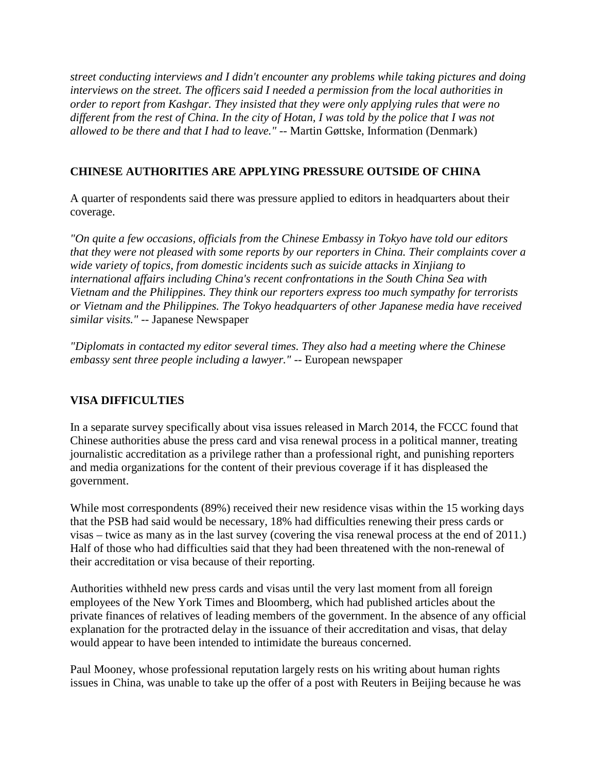*street conducting interviews and I didn't encounter any problems while taking pictures and doing interviews on the street. The officers said I needed a permission from the local authorities in order to report from Kashgar. They insisted that they were only applying rules that were no different from the rest of China. In the city of Hotan, I was told by the police that I was not allowed to be there and that I had to leave."* -- Martin Gøttske, Information (Denmark)

# **CHINESE AUTHORITIES ARE APPLYING PRESSURE OUTSIDE OF CHINA**

A quarter of respondents said there was pressure applied to editors in headquarters about their coverage.

*"On quite a few occasions, officials from the Chinese Embassy in Tokyo have told our editors that they were not pleased with some reports by our reporters in China. Their complaints cover a wide variety of topics, from domestic incidents such as suicide attacks in Xinjiang to international affairs including China's recent confrontations in the South China Sea with Vietnam and the Philippines. They think our reporters express too much sympathy for terrorists or Vietnam and the Philippines. The Tokyo headquarters of other Japanese media have received similar visits."* -- Japanese Newspaper

*"Diplomats in contacted my editor several times. They also had a meeting where the Chinese embassy sent three people including a lawyer."* -- European newspaper

# **VISA DIFFICULTIES**

In a separate survey specifically about visa issues released in March 2014, the FCCC found that Chinese authorities abuse the press card and visa renewal process in a political manner, treating journalistic accreditation as a privilege rather than a professional right, and punishing reporters and media organizations for the content of their previous coverage if it has displeased the government.

While most correspondents (89%) received their new residence visas within the 15 working days that the PSB had said would be necessary, 18% had difficulties renewing their press cards or visas – twice as many as in the last survey (covering the visa renewal process at the end of 2011.) Half of those who had difficulties said that they had been threatened with the non-renewal of their accreditation or visa because of their reporting.

Authorities withheld new press cards and visas until the very last moment from all foreign employees of the New York Times and Bloomberg, which had published articles about the private finances of relatives of leading members of the government. In the absence of any official explanation for the protracted delay in the issuance of their accreditation and visas, that delay would appear to have been intended to intimidate the bureaus concerned.

Paul Mooney, whose professional reputation largely rests on his writing about human rights issues in China, was unable to take up the offer of a post with Reuters in Beijing because he was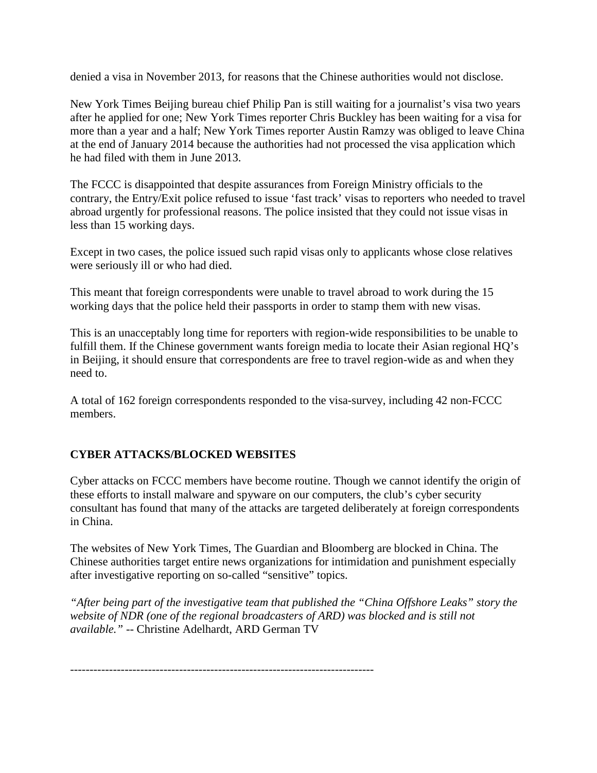denied a visa in November 2013, for reasons that the Chinese authorities would not disclose.

New York Times Beijing bureau chief Philip Pan is still waiting for a journalist's visa two years after he applied for one; New York Times reporter Chris Buckley has been waiting for a visa for more than a year and a half; New York Times reporter Austin Ramzy was obliged to leave China at the end of January 2014 because the authorities had not processed the visa application which he had filed with them in June 2013.

The FCCC is disappointed that despite assurances from Foreign Ministry officials to the contrary, the Entry/Exit police refused to issue 'fast track' visas to reporters who needed to travel abroad urgently for professional reasons. The police insisted that they could not issue visas in less than 15 working days.

Except in two cases, the police issued such rapid visas only to applicants whose close relatives were seriously ill or who had died.

This meant that foreign correspondents were unable to travel abroad to work during the 15 working days that the police held their passports in order to stamp them with new visas.

This is an unacceptably long time for reporters with region-wide responsibilities to be unable to fulfill them. If the Chinese government wants foreign media to locate their Asian regional HQ's in Beijing, it should ensure that correspondents are free to travel region-wide as and when they need to.

A total of 162 foreign correspondents responded to the visa-survey, including 42 non-FCCC members.

# **CYBER ATTACKS/BLOCKED WEBSITES**

Cyber attacks on FCCC members have become routine. Though we cannot identify the origin of these efforts to install malware and spyware on our computers, the club's cyber security consultant has found that many of the attacks are targeted deliberately at foreign correspondents in China.

The websites of New York Times, The Guardian and Bloomberg are blocked in China. The Chinese authorities target entire news organizations for intimidation and punishment especially after investigative reporting on so-called "sensitive" topics.

*"After being part of the investigative team that published the "China Offshore Leaks" story the website of NDR (one of the regional broadcasters of ARD) was blocked and is still not available."* -- Christine Adelhardt, ARD German TV

------------------------------------------------------------------------------